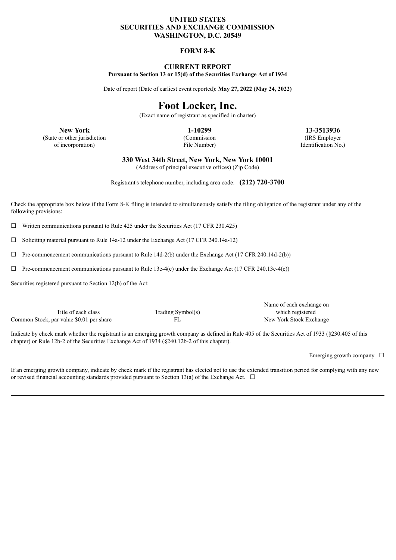## **UNITED STATES SECURITIES AND EXCHANGE COMMISSION WASHINGTON, D.C. 20549**

## **FORM 8-K**

#### **CURRENT REPORT Pursuant to Section 13 or 15(d) of the Securities Exchange Act of 1934**

Date of report (Date of earliest event reported): **May 27, 2022 (May 24, 2022)**

# **Foot Locker, Inc.**

(Exact name of registrant as specified in charter)

(State or other jurisdiction of incorporation)

(Commission File Number)

**New York 1-10299 13-3513936** (IRS Employer Identification No.)

**330 West 34th Street, New York, New York 10001**

(Address of principal executive offices) (Zip Code)

Registrant's telephone number, including area code: **(212) 720-3700**

Check the appropriate box below if the Form 8-K filing is intended to simultaneously satisfy the filing obligation of the registrant under any of the following provisions:

 $\Box$  Written communications pursuant to Rule 425 under the Securities Act (17 CFR 230.425)

☐ Soliciting material pursuant to Rule 14a-12 under the Exchange Act (17 CFR 240.14a-12)

 $\Box$  Pre-commencement communications pursuant to Rule 14d-2(b) under the Exchange Act (17 CFR 240.14d-2(b))

 $\Box$  Pre-commencement communications pursuant to Rule 13e-4(c) under the Exchange Act (17 CFR 240.13e-4(c))

Securities registered pursuant to Section 12(b) of the Act:

|                                          |                   | Name of each exchange on |
|------------------------------------------|-------------------|--------------------------|
| Title of each class                      | Trading Symbol(s) | which registered         |
| Common Stock, par value \$0.01 per share |                   | New York Stock Exchange  |

Indicate by check mark whether the registrant is an emerging growth company as defined in Rule 405 of the Securities Act of 1933 (§230.405 of this chapter) or Rule 12b-2 of the Securities Exchange Act of 1934 (§240.12b-2 of this chapter).

Emerging growth company  $\Box$ 

If an emerging growth company, indicate by check mark if the registrant has elected not to use the extended transition period for complying with any new or revised financial accounting standards provided pursuant to Section 13(a) of the Exchange Act.  $\Box$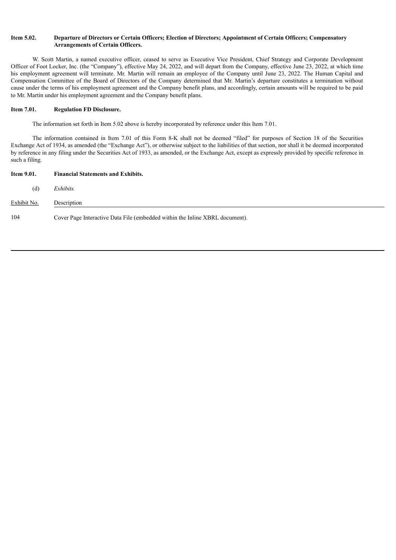#### Item 5.02. Departure of Directors or Certain Officers; Election of Directors; Appointment of Certain Officers; Compensatory **Arrangements of Certain Officers.**

W. Scott Martin, a named executive officer, ceased to serve as Executive Vice President, Chief Strategy and Corporate Development Officer of Foot Locker, Inc. (the "Company"), effective May 24, 2022, and will depart from the Company, effective June 23, 2022, at which time his employment agreement will terminate. Mr. Martin will remain an employee of the Company until June 23, 2022. The Human Capital and Compensation Committee of the Board of Directors of the Company determined that Mr. Martin's departure constitutes a termination without cause under the terms of his employment agreement and the Company benefit plans, and accordingly, certain amounts will be required to be paid to Mr. Martin under his employment agreement and the Company benefit plans.

#### **Item 7.01. Regulation FD Disclosure.**

The information set forth in Item 5.02 above is hereby incorporated by reference under this Item 7.01.

The information contained in Item 7.01 of this Form 8-K shall not be deemed "filed" for purposes of Section 18 of the Securities Exchange Act of 1934, as amended (the "Exchange Act"), or otherwise subject to the liabilities of that section, nor shall it be deemed incorporated by reference in any filing under the Securities Act of 1933, as amended, or the Exchange Act, except as expressly provided by specific reference in such a filing.

| <b>Item 9.01.</b> | <b>Financial Statements and Exhibits.</b>                                    |
|-------------------|------------------------------------------------------------------------------|
| (d)               | Exhibits.                                                                    |
| Exhibit No.       | Description                                                                  |
| 104               | Cover Page Interactive Data File (embedded within the Inline XBRL document). |